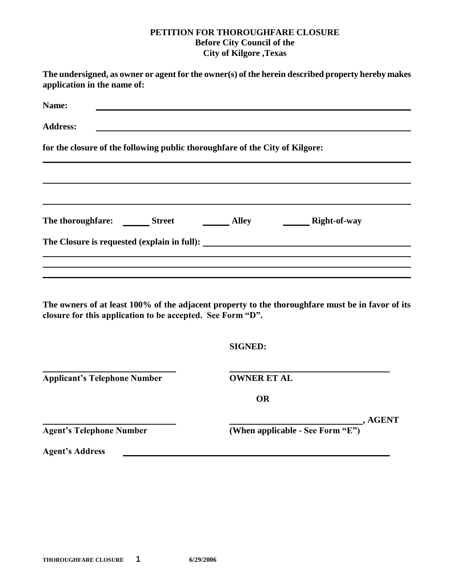## **PETITION FOR THOROUGHFARE CLOSURE Before City Council of the City of Kilgore ,Texas**

| application in the name of:                                                  | The undersigned, as owner or agent for the owner(s) of the herein described property hereby makes |
|------------------------------------------------------------------------------|---------------------------------------------------------------------------------------------------|
| Name:                                                                        |                                                                                                   |
| <b>Address:</b>                                                              |                                                                                                   |
| for the closure of the following public thoroughfare of the City of Kilgore: |                                                                                                   |
|                                                                              |                                                                                                   |
|                                                                              |                                                                                                   |
|                                                                              |                                                                                                   |
| closure for this application to be accepted. See Form "D".                   | The owners of at least 100% of the adjacent property to the thoroughfare must be in favor of its  |
|                                                                              | <b>SIGNED:</b>                                                                                    |
| <b>Applicant's Telephone Number</b>                                          | <b>OWNER ET AL</b>                                                                                |
|                                                                              | <b>OR</b>                                                                                         |
| <b>Agent's Telephone Number</b>                                              | (When applicable - See Form "E"), AGENT                                                           |
| <b>Agent's Address</b>                                                       |                                                                                                   |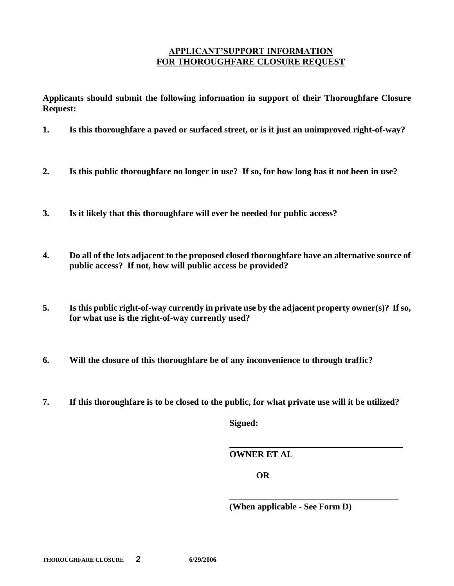## **APPLICANT'SUPPORT INFORMATION FOR THOROUGHFARE CLOSURE REQUEST**

**Applicants should submit the following information in support of their Thoroughfare Closure Request:**

- **1. Is this thoroughfare a paved or surfaced street, or is it just an unimproved right-of-way?**
- **2. Is this public thoroughfare no longer in use? If so, for how long has it not been in use?**
- **3. Is it likely that this thoroughfare will ever be needed for public access?**
- **4. Do all of the lots adjacent to the proposed closed thoroughfare have an alternative source of public access? If not, how will public access be provided?**
- **5. Is this public right-of-way currently in private use by the adjacent property owner(s)? If so, for what use is the right-of-way currently used?**
- **6. Will the closure of this thoroughfare be of any inconvenience to through traffic?**
- **7. If this thoroughfare is to be closed to the public, for what private use will it be utilized?**

**Signed:**

**OWNER ET AL**

**OR**

**(When applicable - See Form D)**

**\_\_\_\_\_\_\_\_\_\_\_\_\_\_\_\_\_\_\_\_\_\_\_\_\_\_\_\_\_\_\_\_\_\_\_\_\_\_\_**

**\_\_\_\_\_\_\_\_\_\_\_\_\_\_\_\_\_\_\_\_\_\_\_\_\_\_\_\_\_\_\_\_\_\_\_\_\_\_**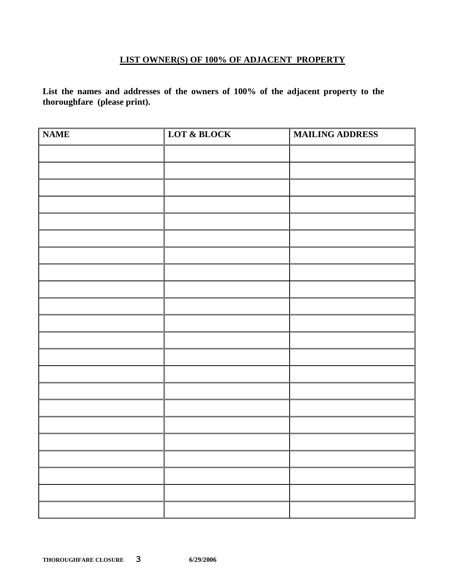## **LIST OWNER(S) OF 100% OF ADJACENT PROPERTY**

**List the names and addresses of the owners of 100% of the adjacent property to the thoroughfare (please print).**

| <b>NAME</b> | LOT & BLOCK | <b>MAILING ADDRESS</b> |
|-------------|-------------|------------------------|
|             |             |                        |
|             |             |                        |
|             |             |                        |
|             |             |                        |
|             |             |                        |
|             |             |                        |
|             |             |                        |
|             |             |                        |
|             |             |                        |
|             |             |                        |
|             |             |                        |
|             |             |                        |
|             |             |                        |
|             |             |                        |
|             |             |                        |
|             |             |                        |
|             |             |                        |
|             |             |                        |
|             |             |                        |
|             |             |                        |
|             |             |                        |
|             |             |                        |